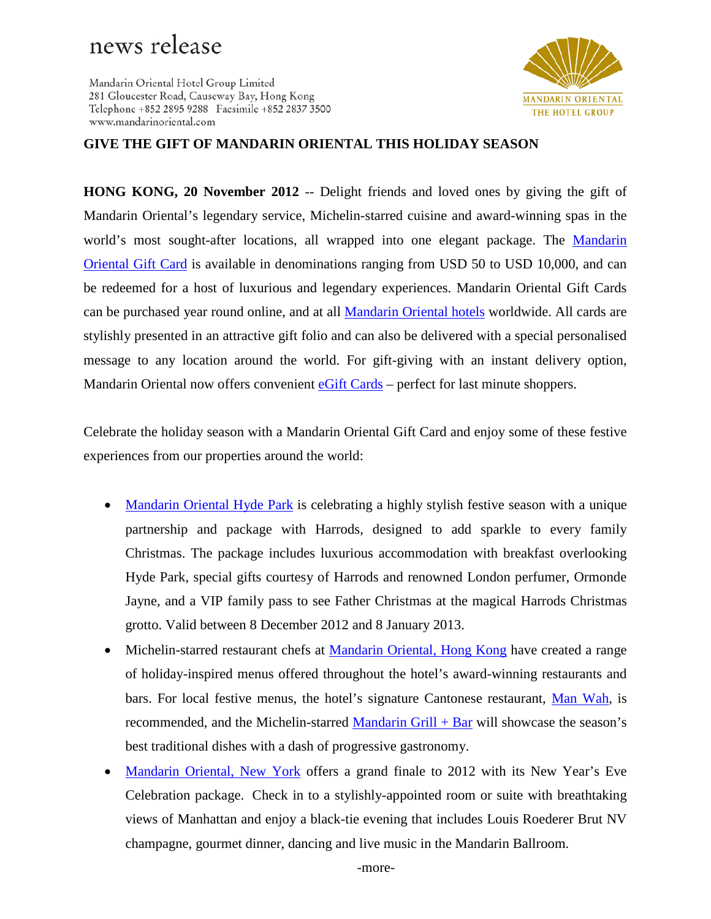## news release

Mandarin Oriental Hotel Group Limited 281 Gloucester Road, Causeway Bay, Hong Kong Telephone +852 2895 9288 Facsimile +852 2837 3500 www.mandarinoriental.com



## **GIVE THE GIFT OF MANDARIN ORIENTAL THIS HOLIDAY SEASON**

**HONG KONG, 20 November 2012** -- Delight friends and loved ones by giving the gift of Mandarin Oriental's legendary service, Michelin-starred cuisine and award-winning spas in the world's most sought-after locations, all wrapped into one elegant package. The Mandarin [Oriental Gift Card](http://www.mandarinoriental.com/giftcard) is available in denominations ranging from USD 50 to USD 10,000, and can be redeemed for a host of luxurious and legendary experiences. Mandarin Oriental Gift Cards can be purchased year round online, and at all [Mandarin Oriental hotels](http://www.mandarinoriental.com/) worldwide. All cards are stylishly presented in an attractive gift folio and can also be delivered with a special personalised message to any location around the world. For gift-giving with an instant delivery option, Mandarin Oriental now offers convenient [eGift Cards](https://www.mandarinoriental.com/gift-cards/) – perfect for last minute shoppers.

Celebrate the holiday season with a Mandarin Oriental Gift Card and enjoy some of these festive experiences from our properties around the world:

- [Mandarin Oriental Hyde Park](http://www.mandarinoriental.com/london/) is celebrating a highly stylish festive season with a unique partnership and package with Harrods, designed to add sparkle to every family Christmas. The package includes luxurious accommodation with breakfast overlooking Hyde Park, special gifts courtesy of Harrods and renowned London perfumer, Ormonde Jayne, and a VIP family pass to see Father Christmas at the magical Harrods Christmas grotto. Valid between 8 December 2012 and 8 January 2013.
- Michelin-starred restaurant chefs at [Mandarin Oriental, Hong Kong](http://www.mandarinoriental.com/hongkong/) have created a range of holiday-inspired menus offered throughout the hotel's award-winning restaurants and bars. For local festive menus, the hotel's signature Cantonese restaurant, [Man Wah,](http://www.mandarinoriental.com/hongkong/fine-dining/man-wah/) is recommended, and the Michelin-starred [Mandarin Grill + Bar](http://www.mandarinoriental.com/hongkong/fine-dining/mandarin-grill-and-bar/) will showcase the season's best traditional dishes with a dash of progressive gastronomy.
- [Mandarin Oriental, New York](http://www.mandarinoriental.com/newyork/) offers a grand finale to 2012 with its New Year's Eve Celebration package. Check in to a stylishly-appointed room or suite with breathtaking views of Manhattan and enjoy a black-tie evening that includes Louis Roederer Brut NV champagne, gourmet dinner, dancing and live music in the Mandarin Ballroom.